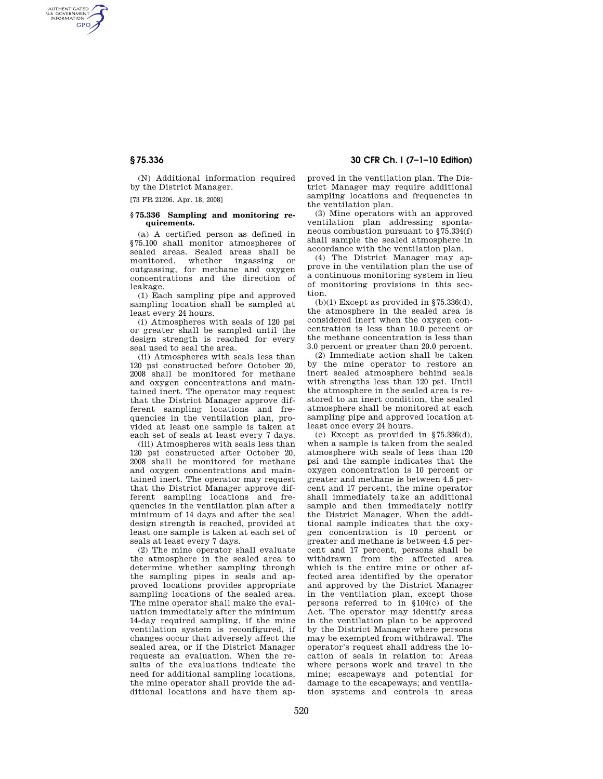AUTHENTICATED<br>U.S. GOVERNMENT<br>INFORMATION **GPO** 

> (N) Additional information required by the District Manager.

[73 FR 21206, Apr. 18, 2008]

#### **§ 75.336 Sampling and monitoring requirements.**

(a) A certified person as defined in §75.100 shall monitor atmospheres of sealed areas. Sealed areas shall be monitored, whether ingassing or outgassing, for methane and oxygen concentrations and the direction of leakage.

(1) Each sampling pipe and approved sampling location shall be sampled at least every 24 hours.

(i) Atmospheres with seals of 120 psi or greater shall be sampled until the design strength is reached for every seal used to seal the area.

(ii) Atmospheres with seals less than 120 psi constructed before October 20, 2008 shall be monitored for methane and oxygen concentrations and maintained inert. The operator may request that the District Manager approve different sampling locations and frequencies in the ventilation plan, provided at least one sample is taken at each set of seals at least every 7 days.

(iii) Atmospheres with seals less than 120 psi constructed after October 20, 2008 shall be monitored for methane and oxygen concentrations and maintained inert. The operator may request that the District Manager approve different sampling locations and frequencies in the ventilation plan after a minimum of 14 days and after the seal design strength is reached, provided at least one sample is taken at each set of seals at least every 7 days.

(2) The mine operator shall evaluate the atmosphere in the sealed area to determine whether sampling through the sampling pipes in seals and approved locations provides appropriate sampling locations of the sealed area. The mine operator shall make the evaluation immediately after the minimum 14-day required sampling, if the mine ventilation system is reconfigured, if changes occur that adversely affect the sealed area, or if the District Manager requests an evaluation. When the results of the evaluations indicate the need for additional sampling locations, the mine operator shall provide the additional locations and have them ap-

# **§ 75.336 30 CFR Ch. I (7–1–10 Edition)**

proved in the ventilation plan. The District Manager may require additional sampling locations and frequencies in the ventilation plan.

(3) Mine operators with an approved ventilation plan addressing spontaneous combustion pursuant to §75.334(f) shall sample the sealed atmosphere in accordance with the ventilation plan.

(4) The District Manager may approve in the ventilation plan the use of a continuous monitoring system in lieu of monitoring provisions in this section.

(b)(1) Except as provided in  $$75.336(d)$ . the atmosphere in the sealed area is considered inert when the oxygen concentration is less than 10.0 percent or the methane concentration is less than 3.0 percent or greater than 20.0 percent.

(2) Immediate action shall be taken by the mine operator to restore an inert sealed atmosphere behind seals with strengths less than 120 psi. Until the atmosphere in the sealed area is restored to an inert condition, the sealed atmosphere shall be monitored at each sampling pipe and approved location at least once every 24 hours.

(c) Except as provided in §75.336(d), when a sample is taken from the sealed atmosphere with seals of less than 120 psi and the sample indicates that the oxygen concentration is 10 percent or greater and methane is between 4.5 percent and 17 percent, the mine operator shall immediately take an additional sample and then immediately notify the District Manager. When the additional sample indicates that the oxygen concentration is 10 percent or greater and methane is between 4.5 percent and 17 percent, persons shall be withdrawn from the affected area which is the entire mine or other affected area identified by the operator and approved by the District Manager in the ventilation plan, except those persons referred to in §104(c) of the Act. The operator may identify areas in the ventilation plan to be approved by the District Manager where persons may be exempted from withdrawal. The operator's request shall address the location of seals in relation to: Areas where persons work and travel in the mine; escapeways and potential for damage to the escapeways; and ventilation systems and controls in areas